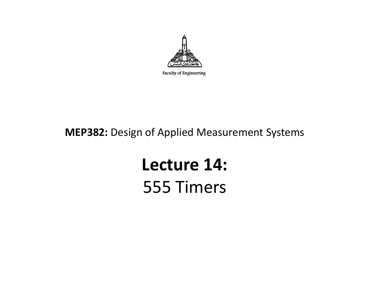

Faculty of Engineering

#### **MEP382:** Design of Applied Measurement Systems

## **Lecture 14:** 555 Timers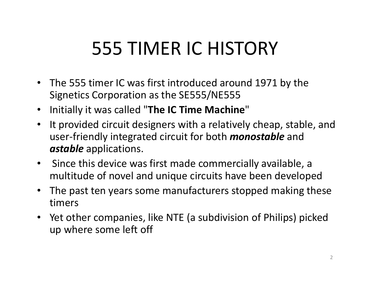## 555 TIMER IC HISTORY

- The 555 timer IC was first introduced around 1971 by the Signetics Corporation as the SE555/NE555
- Initially it was called "**The IC Time Machine**"
- $\bullet$  It provided circuit designers with a relatively cheap, stable, and user-friendly integrated circuit for both *monostable* and *astable* applications.
- $\bullet$  Since this device was first made commercially available, a multitude of novel and unique circuits have been developed
- $\bullet$  The past ten years some manufacturers stopped making these timers
- Yet other companies, like NTE (a subdivision of Philips) picked up where some left off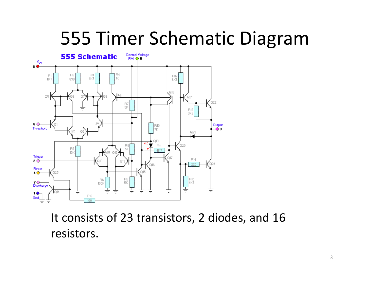## 555 Timer Schematic Diagram



It consists of 23 transistors, 2 diodes, and 16 resistors.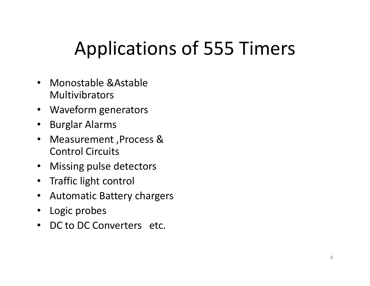## Applications of 555 Timers

- Monostable &Astable Multivibrators
- Waveform generators
- $\bullet$ Burglar Alarms
- $\bullet$  Measurement ,Process & Control Circuits
- $\bullet$ Missing pulse detectors
- Traffic light control
- Automatic Battery chargers
- $\bullet$ Logic probes
- DC to DC Converters etc.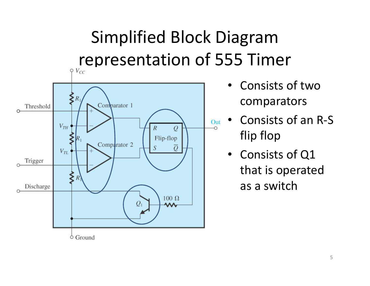# Simplified Block Diagram representation of 555 Timer



- • Consists of two comparators
- Consists of an R-S flip flop
- Consists of Q1 that is operated as a switch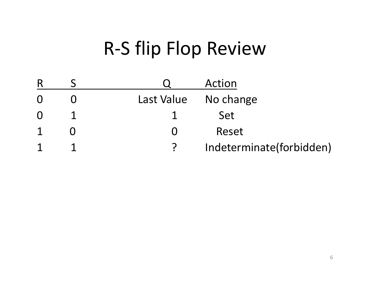## R-S flip Flop Review

|          |            | Action                   |
|----------|------------|--------------------------|
| $\Omega$ | Last Value | No change                |
| $\Omega$ |            | Set                      |
|          |            | Reset                    |
|          |            | Indeterminate(forbidden) |
|          |            |                          |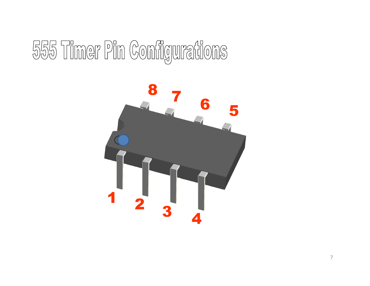# 555 Timer Pin Configurations

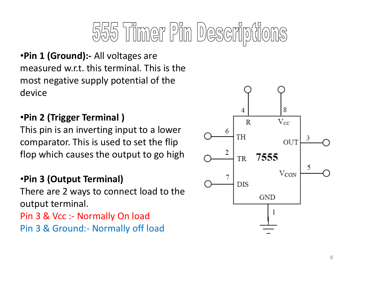# 555 Timer Pin Descripti

•**Pin 1 (Ground):-** All voltages are measured w.r.t. this terminal. This is the most negative supply potential of the device

#### •**Pin 2 (Trigger Terminal )**

This pin is an inverting input to a lower comparator. This is used to set the flip flop which causes the output to go high

#### •**Pin 3 (Output Terminal)**

There are 2 ways to connect load to the output terminal.

Pin 3 & Vcc :- Normally On loadPin 3 & Ground:- Normally off load

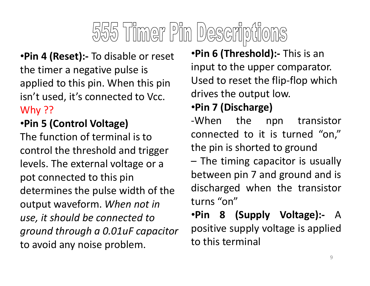# 555 Timer Pin Descriptions

•**Pin 4 (Reset):-** To disable or reset the timer a negative pulse is applied to this pin. When this pin isn't used, it's connected to Vcc. Why ??

#### •**Pin 5 (Control Voltage)**

The function of terminal is to control the threshold and trigger levels. The external voltage or a pot connected to this pin determines the pulse width of the output waveform. *When not in use, it should be connected to ground through a 0.01uF capacitor* to avoid any noise problem.

•**Pin 6 (Threshold):-** This is an input to the upper comparator. Used to reset the flip-flop which drives the output low.

#### •**Pin 7 (Discharge)**

-When the npn transistor connected to it is turned "on," the pin is shorted to ground

– The timing capacitor is usually between pin <sup>7</sup> and ground and is discharged when the transistor turns "on"

•**Pin <sup>8</sup> (Supply Voltage):-** A positive supply voltage is appliedto this terminal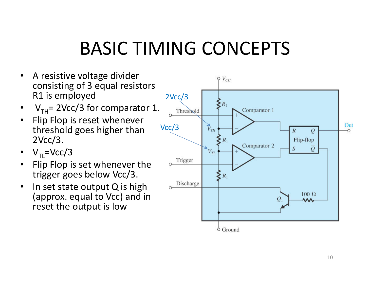## BASIC TIMING CONCEPTS

- $\bullet$  A resistive voltage divider consisting of 3 equal resistors R1 is employed
- V<sub>TH</sub>= 2Vcc/3 for comparator 1. •
- • Flip Flop is reset whenever threshold goes higher than 2Vcc/3.
- $\rm V_{TL}$ =Vcc/3
- Flip Flop is set whenever the •trigger goes below Vcc/3.
- • In set state output Q is high (approx. equal to Vcc) and in reset the output is low

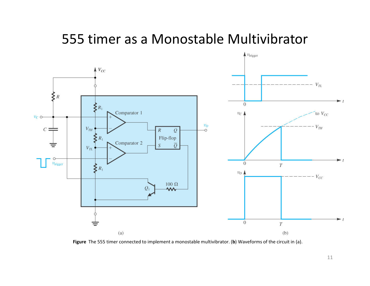#### 555 timer as a Monostable Multivibrator



**Figure** The 555 timer connected to implement a monostable multivibrator. (**b**) Waveforms of the circuit in (a).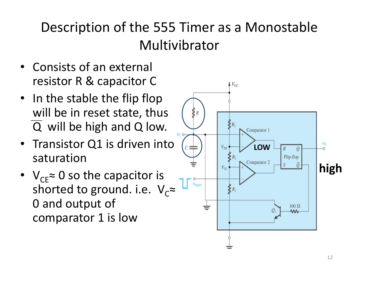### Description of the 555 Timer as a Monostable Multivibrator

- Consists of an external resistor R & capacitor C
- In the stable the flip flop will be in reset state, thus  $\overline{Q}$  will be high and Q low.
- Transistor Q1 is driven into saturation
- $V_{CE}$ ≈ 0 so the capacitor is shorted to ground. i.e.  $\rm\,V_{C}^{\phantom{*}}$ 0 and output of comparator 1 is low

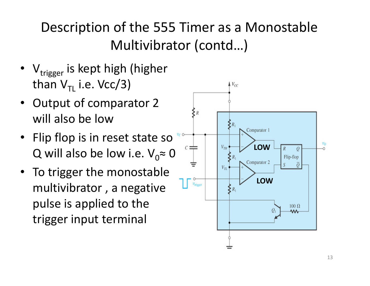### Description of the 555 Timer as a Monostable Multivibrator (contd…)

- $\rm V_{trigger}$  is kept high (higher than V $_{\sf TL}$  i.e. Vcc/3)
- Output of comparator 2 will also be low
- Flip flop is in reset state so Q will also be low i.e.  $\mathsf{V}_0\mathsf{\approx}\mathsf{0}$
- To trigger the monostable multivibrator , a negative pulse is applied to the trigger input terminal

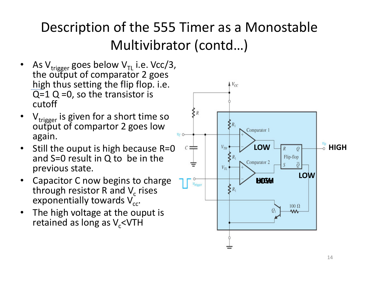## Description of the 555 Timer as a Monostable Multivibrator (contd…)

- •• As V $_{\text{trigger}}$  goes below V $_{\textsf{\tiny TL}}$  i.e. Vcc/3, the output of comparator 2 goes high thus setting the flip flop. i.e.  $\overline{Q}$ =1 Q =0, so the transistor is cutoff
- •V<sub>trigger</sub> is given for a short time so<br>output of compartor 2 goes low again.
- $\bullet$  Still the ouput is high because R=0 and S=0 result in Q to be in the previous state.
- • Capacitor C now begins to charge through resistor R and  $V_c$  rises exponentially towards  $\mathsf{V_{cc}}.$
- The high voltage at the ouput is  $\bullet$ retained as long as  $V_c$ <VTH

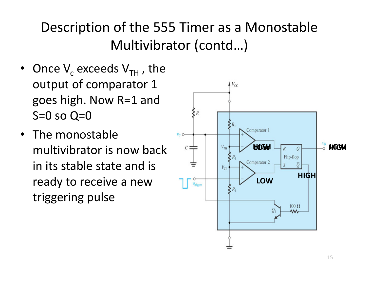### Description of the 555 Timer as a Monostable Multivibrator (contd…)

- Once  $V_c$  exceeds  $V_{TH}$ , the output of comparator 1 goes high. Now R=1 and  $S=0$  so  $Q=0$
- The monostable multivibrator is now back in its stable state and is ready to receive a new triggering pulse

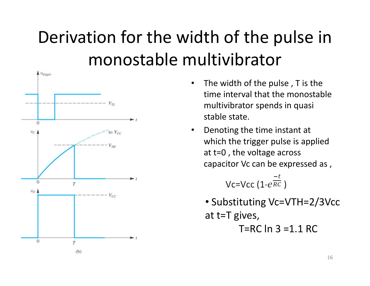## Derivation for the width of the pulse in monostable multivibrator



- $\bullet$  The width of the pulse , T is the time interval that the monostable multivibrator spends in quasi stable state.
- $\bullet$  Denoting the time instant at which the trigger pulse is applied at t=0 , the voltage across capacitor Vc can be expressed as ,

Vc=Vcc (1- $e^{\frac{-t}{RC}}$ )

• Substituting Vc=VTH=2/3Vcc at t=T gives,

T=RC ln 3 =1.1 RC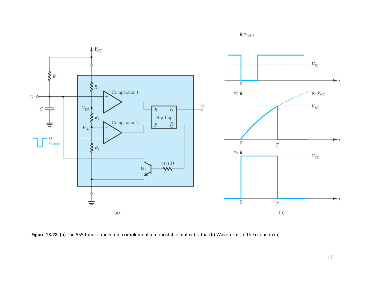

**Figure 13.28 (a)** The 555 timer connected to implement a monostable multivibrator. (**b**) Waveforms of the circuit in (a).